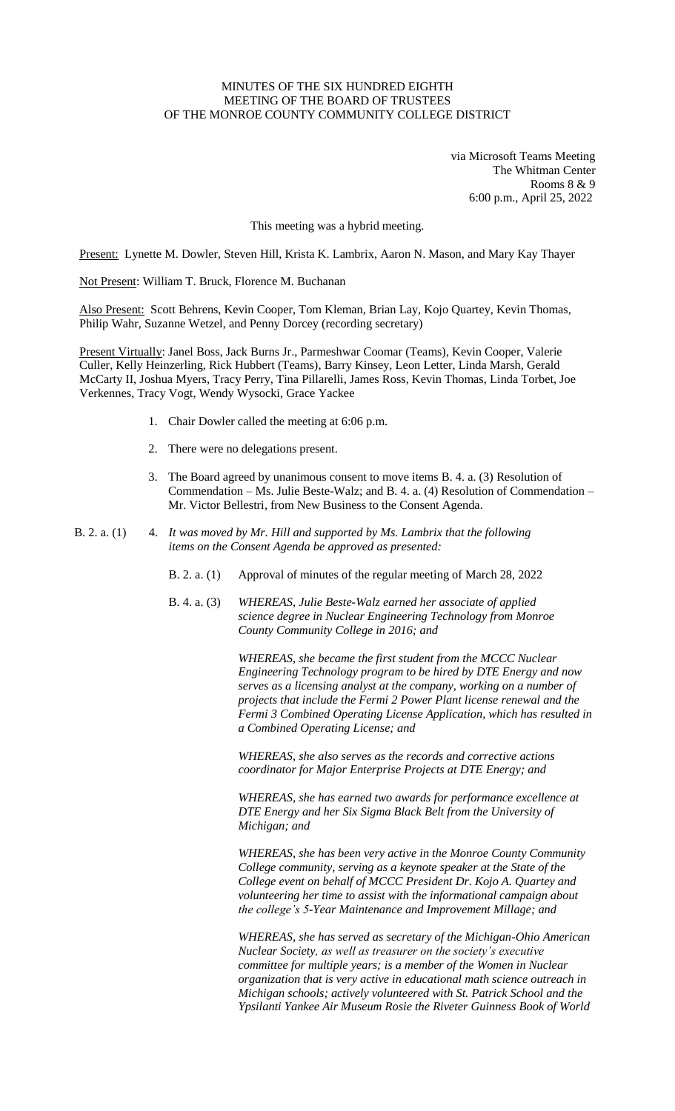## MINUTES OF THE SIX HUNDRED EIGHTH MEETING OF THE BOARD OF TRUSTEES OF THE MONROE COUNTY COMMUNITY COLLEGE DISTRICT

via Microsoft Teams Meeting The Whitman Center Rooms 8 & 9 6:00 p.m., April 25, 2022

This meeting was a hybrid meeting.

Present: Lynette M. Dowler, Steven Hill, Krista K. Lambrix, Aaron N. Mason, and Mary Kay Thayer

Not Present: William T. Bruck, Florence M. Buchanan

Also Present: Scott Behrens, Kevin Cooper, Tom Kleman, Brian Lay, Kojo Quartey, Kevin Thomas, Philip Wahr, Suzanne Wetzel, and Penny Dorcey (recording secretary)

Present Virtually: Janel Boss, Jack Burns Jr., Parmeshwar Coomar (Teams), Kevin Cooper, Valerie Culler, Kelly Heinzerling, Rick Hubbert (Teams), Barry Kinsey, Leon Letter, Linda Marsh, Gerald McCarty II, Joshua Myers, Tracy Perry, Tina Pillarelli, James Ross, Kevin Thomas, Linda Torbet, Joe Verkennes, Tracy Vogt, Wendy Wysocki, Grace Yackee

- 1. Chair Dowler called the meeting at 6:06 p.m.
- 2. There were no delegations present.
- 3. The Board agreed by unanimous consent to move items B. 4. a. (3) Resolution of Commendation – Ms. Julie Beste-Walz; and B. 4. a.  $(4)$  Resolution of Commendation – Mr. Victor Bellestri, from New Business to the Consent Agenda.
- B. 2. a. (1) 4. *It was moved by Mr. Hill and supported by Ms. Lambrix that the following items on the Consent Agenda be approved as presented:*
	- B. 2. a. (1) Approval of minutes of the regular meeting of March 28, 2022
	- B. 4. a. (3) *WHEREAS, Julie Beste-Walz earned her associate of applied science degree in Nuclear Engineering Technology from Monroe County Community College in 2016; and*

*WHEREAS, she became the first student from the MCCC Nuclear Engineering Technology program to be hired by DTE Energy and now serves as a licensing analyst at the company, working on a number of projects that include the Fermi 2 Power Plant license renewal and the Fermi 3 Combined Operating License Application, which has resulted in a Combined Operating License; and*

*WHEREAS, she also serves as the records and corrective actions coordinator for Major Enterprise Projects at DTE Energy; and* 

*WHEREAS, she has earned two awards for performance excellence at DTE Energy and her Six Sigma Black Belt from the University of Michigan; and*

*WHEREAS, she has been very active in the Monroe County Community College community, serving as a keynote speaker at the State of the College event on behalf of MCCC President Dr. Kojo A. Quartey and volunteering her time to assist with the informational campaign about the college's 5-Year Maintenance and Improvement Millage; and*

*WHEREAS, she has served as secretary of the Michigan-Ohio American Nuclear Society, as well as treasurer on the society's executive committee for multiple years; is a member of the Women in Nuclear organization that is very active in educational math science outreach in Michigan schools; actively volunteered with St. Patrick School and the Ypsilanti Yankee Air Museum Rosie the Riveter Guinness Book of World*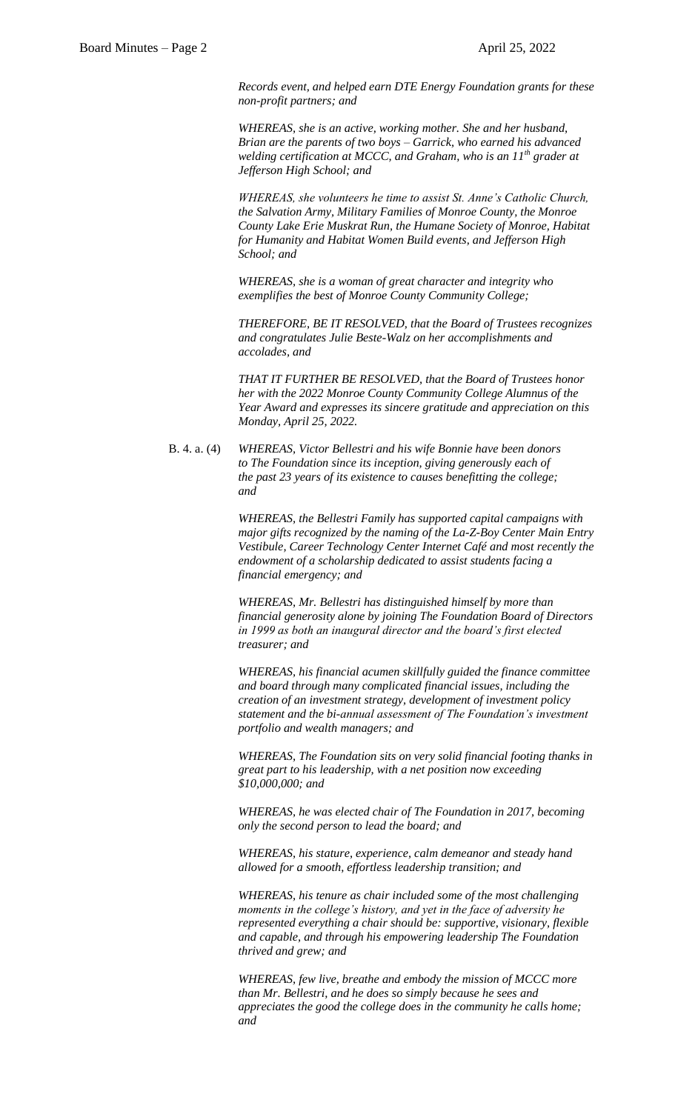*Records event, and helped earn DTE Energy Foundation grants for these non-profit partners; and*

*WHEREAS, she is an active, working mother. She and her husband, Brian are the parents of two boys – Garrick, who earned his advanced welding certification at MCCC, and Graham, who is an 11th grader at Jefferson High School; and* 

*WHEREAS, she volunteers he time to assist St. Anne's Catholic Church, the Salvation Army, Military Families of Monroe County, the Monroe County Lake Erie Muskrat Run, the Humane Society of Monroe, Habitat for Humanity and Habitat Women Build events, and Jefferson High School; and*

*WHEREAS, she is a woman of great character and integrity who exemplifies the best of Monroe County Community College;*

*THEREFORE, BE IT RESOLVED, that the Board of Trustees recognizes and congratulates Julie Beste-Walz on her accomplishments and accolades, and*

*THAT IT FURTHER BE RESOLVED, that the Board of Trustees honor her with the 2022 Monroe County Community College Alumnus of the Year Award and expresses its sincere gratitude and appreciation on this Monday, April 25, 2022.*

B. 4. a. (4) *WHEREAS, Victor Bellestri and his wife Bonnie have been donors to The Foundation since its inception, giving generously each of the past 23 years of its existence to causes benefitting the college; and*

> *WHEREAS, the Bellestri Family has supported capital campaigns with major gifts recognized by the naming of the La-Z-Boy Center Main Entry Vestibule, Career Technology Center Internet Café and most recently the endowment of a scholarship dedicated to assist students facing a financial emergency; and*

> *WHEREAS, Mr. Bellestri has distinguished himself by more than financial generosity alone by joining The Foundation Board of Directors in 1999 as both an inaugural director and the board's first elected treasurer; and*

> *WHEREAS, his financial acumen skillfully guided the finance committee and board through many complicated financial issues, including the creation of an investment strategy, development of investment policy statement and the bi-annual assessment of The Foundation's investment portfolio and wealth managers; and*

> *WHEREAS, The Foundation sits on very solid financial footing thanks in great part to his leadership, with a net position now exceeding \$10,000,000; and*

*WHEREAS, he was elected chair of The Foundation in 2017, becoming only the second person to lead the board; and*

*WHEREAS, his stature, experience, calm demeanor and steady hand allowed for a smooth, effortless leadership transition; and* 

*WHEREAS, his tenure as chair included some of the most challenging moments in the college's history, and yet in the face of adversity he represented everything a chair should be: supportive, visionary, flexible and capable, and through his empowering leadership The Foundation thrived and grew; and*

*WHEREAS, few live, breathe and embody the mission of MCCC more than Mr. Bellestri, and he does so simply because he sees and appreciates the good the college does in the community he calls home; and*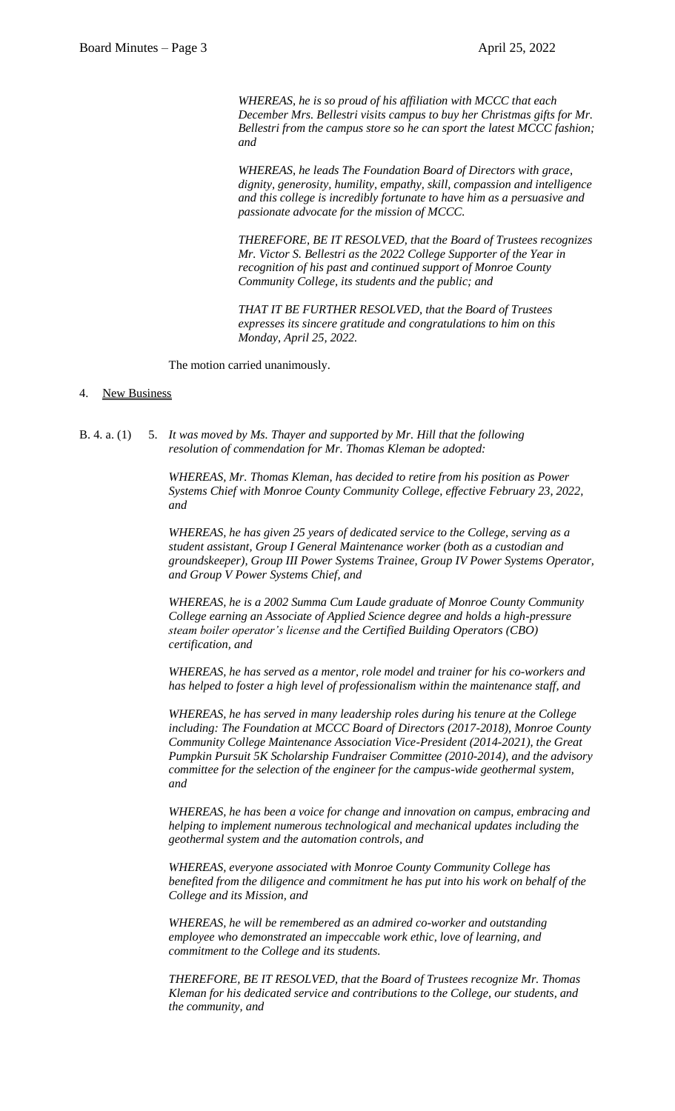*WHEREAS, he is so proud of his affiliation with MCCC that each December Mrs. Bellestri visits campus to buy her Christmas gifts for Mr. Bellestri from the campus store so he can sport the latest MCCC fashion; and*

*WHEREAS, he leads The Foundation Board of Directors with grace, dignity, generosity, humility, empathy, skill, compassion and intelligence and this college is incredibly fortunate to have him as a persuasive and passionate advocate for the mission of MCCC.*

*THEREFORE, BE IT RESOLVED, that the Board of Trustees recognizes Mr. Victor S. Bellestri as the 2022 College Supporter of the Year in recognition of his past and continued support of Monroe County Community College, its students and the public; and*

*THAT IT BE FURTHER RESOLVED, that the Board of Trustees expresses its sincere gratitude and congratulations to him on this Monday, April 25, 2022.*

The motion carried unanimously.

## 4. New Business

B. 4. a. (1) 5. *It was moved by Ms. Thayer and supported by Mr. Hill that the following resolution of commendation for Mr. Thomas Kleman be adopted:*

> *WHEREAS, Mr. Thomas Kleman, has decided to retire from his position as Power Systems Chief with Monroe County Community College, effective February 23, 2022, and*

*WHEREAS, he has given 25 years of dedicated service to the College, serving as a student assistant, Group I General Maintenance worker (both as a custodian and groundskeeper), Group III Power Systems Trainee, Group IV Power Systems Operator, and Group V Power Systems Chief, and*

*WHEREAS, he is a 2002 Summa Cum Laude graduate of Monroe County Community College earning an Associate of Applied Science degree and holds a high-pressure steam boiler operator's license and the Certified Building Operators (CBO) certification, and*

*WHEREAS, he has served as a mentor, role model and trainer for his co-workers and has helped to foster a high level of professionalism within the maintenance staff, and*

*WHEREAS, he has served in many leadership roles during his tenure at the College*  including: The Foundation at MCCC Board of Directors (2017-2018), Monroe County *Community College Maintenance Association Vice-President (2014-2021), the Great Pumpkin Pursuit 5K Scholarship Fundraiser Committee (2010-2014), and the advisory committee for the selection of the engineer for the campus-wide geothermal system, and*

*WHEREAS, he has been a voice for change and innovation on campus, embracing and helping to implement numerous technological and mechanical updates including the geothermal system and the automation controls, and*

*WHEREAS, everyone associated with Monroe County Community College has benefited from the diligence and commitment he has put into his work on behalf of the College and its Mission, and*

*WHEREAS, he will be remembered as an admired co-worker and outstanding employee who demonstrated an impeccable work ethic, love of learning, and commitment to the College and its students.*

*THEREFORE, BE IT RESOLVED, that the Board of Trustees recognize Mr. Thomas Kleman for his dedicated service and contributions to the College, our students, and the community, and*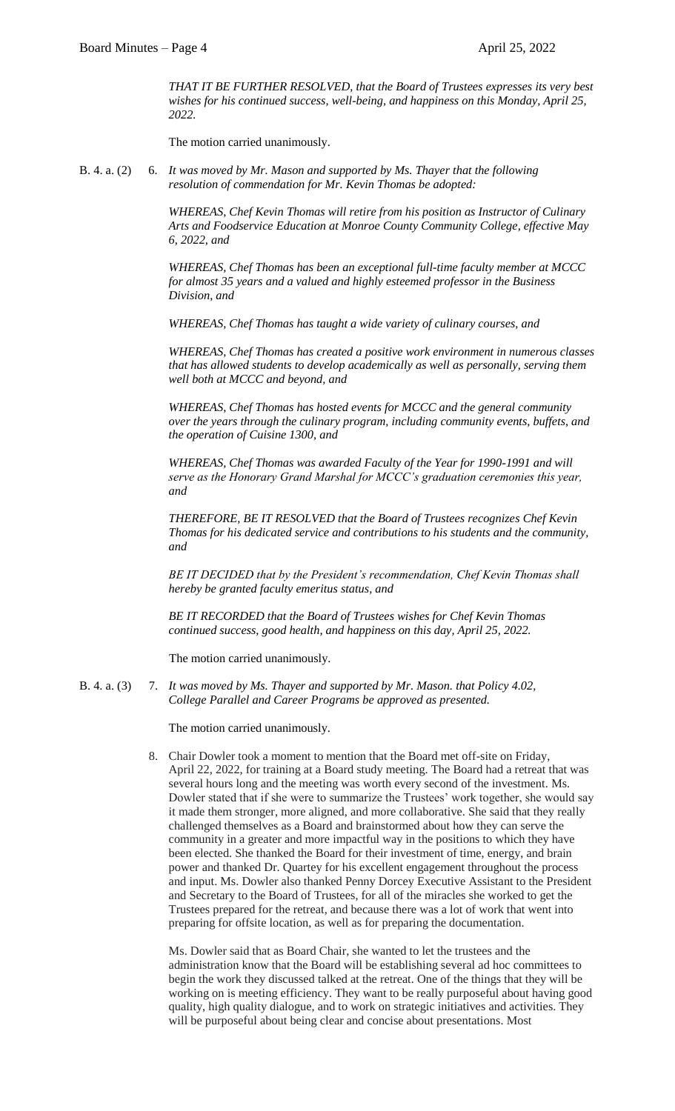*THAT IT BE FURTHER RESOLVED, that the Board of Trustees expresses its very best wishes for his continued success, well-being, and happiness on this Monday, April 25, 2022.*

The motion carried unanimously.

B. 4. a. (2) 6. *It was moved by Mr. Mason and supported by Ms. Thayer that the following resolution of commendation for Mr. Kevin Thomas be adopted:*

> *WHEREAS, Chef Kevin Thomas will retire from his position as Instructor of Culinary Arts and Foodservice Education at Monroe County Community College, effective May 6, 2022, and*

> *WHEREAS, Chef Thomas has been an exceptional full-time faculty member at MCCC for almost 35 years and a valued and highly esteemed professor in the Business Division, and*

*WHEREAS, Chef Thomas has taught a wide variety of culinary courses, and*

*WHEREAS, Chef Thomas has created a positive work environment in numerous classes that has allowed students to develop academically as well as personally, serving them well both at MCCC and beyond, and*

*WHEREAS, Chef Thomas has hosted events for MCCC and the general community over the years through the culinary program, including community events, buffets, and the operation of Cuisine 1300, and*

*WHEREAS, Chef Thomas was awarded Faculty of the Year for 1990-1991 and will serve as the Honorary Grand Marshal for MCCC's graduation ceremonies this year, and*

*THEREFORE, BE IT RESOLVED that the Board of Trustees recognizes Chef Kevin Thomas for his dedicated service and contributions to his students and the community, and*

*BE IT DECIDED that by the President's recommendation, Chef Kevin Thomas shall hereby be granted faculty emeritus status, and*

*BE IT RECORDED that the Board of Trustees wishes for Chef Kevin Thomas continued success, good health, and happiness on this day, April 25, 2022.*

The motion carried unanimously.

B. 4. a. (3) 7. *It was moved by Ms. Thayer and supported by Mr. Mason. that Policy 4.02, College Parallel and Career Programs be approved as presented.*

The motion carried unanimously.

8. Chair Dowler took a moment to mention that the Board met off-site on Friday, April 22, 2022, for training at a Board study meeting. The Board had a retreat that was several hours long and the meeting was worth every second of the investment. Ms. Dowler stated that if she were to summarize the Trustees' work together, she would say it made them stronger, more aligned, and more collaborative. She said that they really challenged themselves as a Board and brainstormed about how they can serve the community in a greater and more impactful way in the positions to which they have been elected. She thanked the Board for their investment of time, energy, and brain power and thanked Dr. Quartey for his excellent engagement throughout the process and input. Ms. Dowler also thanked Penny Dorcey Executive Assistant to the President and Secretary to the Board of Trustees, for all of the miracles she worked to get the Trustees prepared for the retreat, and because there was a lot of work that went into preparing for offsite location, as well as for preparing the documentation.

Ms. Dowler said that as Board Chair, she wanted to let the trustees and the administration know that the Board will be establishing several ad hoc committees to begin the work they discussed talked at the retreat. One of the things that they will be working on is meeting efficiency. They want to be really purposeful about having good quality, high quality dialogue, and to work on strategic initiatives and activities. They will be purposeful about being clear and concise about presentations. Most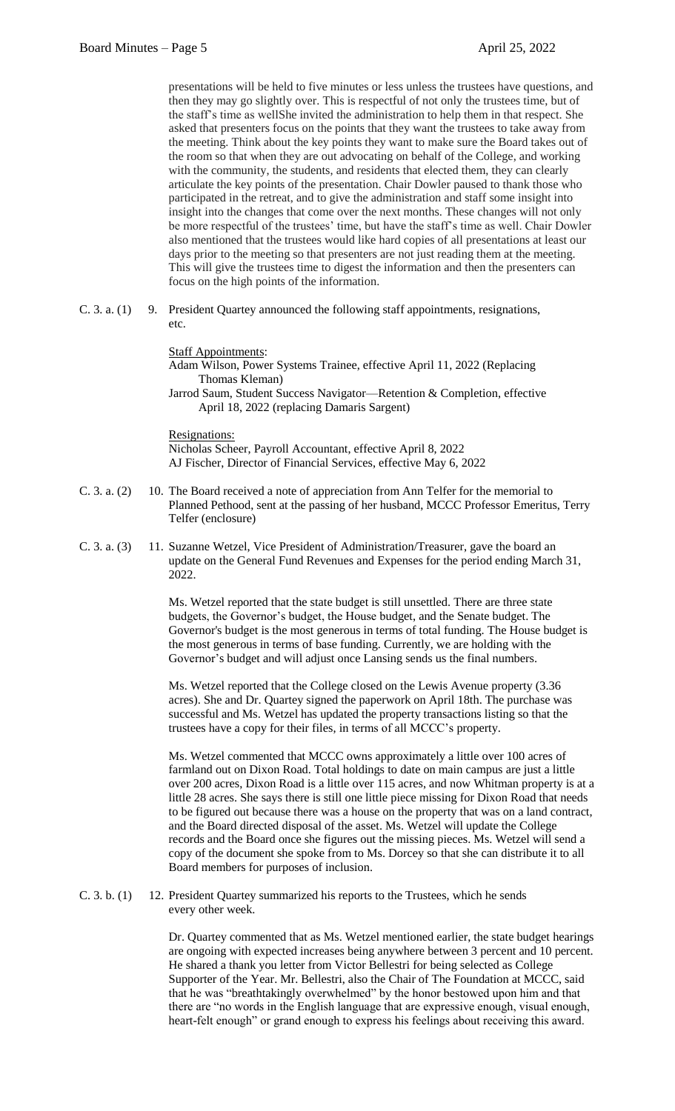presentations will be held to five minutes or less unless the trustees have questions, and then they may go slightly over. This is respectful of not only the trustees time, but of the staff's time as wellShe invited the administration to help them in that respect. She asked that presenters focus on the points that they want the trustees to take away from the meeting. Think about the key points they want to make sure the Board takes out of the room so that when they are out advocating on behalf of the College, and working with the community, the students, and residents that elected them, they can clearly articulate the key points of the presentation. Chair Dowler paused to thank those who participated in the retreat, and to give the administration and staff some insight into insight into the changes that come over the next months. These changes will not only be more respectful of the trustees' time, but have the staff's time as well. Chair Dowler also mentioned that the trustees would like hard copies of all presentations at least our days prior to the meeting so that presenters are not just reading them at the meeting. This will give the trustees time to digest the information and then the presenters can focus on the high points of the information.

C. 3. a. (1) 9. President Quartey announced the following staff appointments, resignations, etc.

Staff Appointments:

Adam Wilson, Power Systems Trainee, effective April 11, 2022 (Replacing Thomas Kleman) Jarrod Saum, Student Success Navigator—Retention & Completion, effective April 18, 2022 (replacing Damaris Sargent)

Resignations: Nicholas Scheer, Payroll Accountant, effective April 8, 2022 AJ Fischer, Director of Financial Services, effective May 6, 2022

- C. 3. a. (2) 10. The Board received a note of appreciation from Ann Telfer for the memorial to Planned Pethood, sent at the passing of her husband, MCCC Professor Emeritus, Terry Telfer (enclosure)
- C. 3. a. (3) 11. Suzanne Wetzel, Vice President of Administration/Treasurer, gave the board an update on the General Fund Revenues and Expenses for the period ending March 31, 2022.

Ms. Wetzel reported that the state budget is still unsettled. There are three state budgets, the Governor's budget, the House budget, and the Senate budget. The Governor's budget is the most generous in terms of total funding. The House budget is the most generous in terms of base funding. Currently, we are holding with the Governor's budget and will adjust once Lansing sends us the final numbers.

Ms. Wetzel reported that the College closed on the Lewis Avenue property (3.36 acres). She and Dr. Quartey signed the paperwork on April 18th. The purchase was successful and Ms. Wetzel has updated the property transactions listing so that the trustees have a copy for their files, in terms of all MCCC's property.

Ms. Wetzel commented that MCCC owns approximately a little over 100 acres of farmland out on Dixon Road. Total holdings to date on main campus are just a little over 200 acres, Dixon Road is a little over 115 acres, and now Whitman property is at a little 28 acres. She says there is still one little piece missing for Dixon Road that needs to be figured out because there was a house on the property that was on a land contract, and the Board directed disposal of the asset. Ms. Wetzel will update the College records and the Board once she figures out the missing pieces. Ms. Wetzel will send a copy of the document she spoke from to Ms. Dorcey so that she can distribute it to all Board members for purposes of inclusion.

C. 3. b. (1) 12. President Quartey summarized his reports to the Trustees, which he sends every other week.

> Dr. Quartey commented that as Ms. Wetzel mentioned earlier, the state budget hearings are ongoing with expected increases being anywhere between 3 percent and 10 percent. He shared a thank you letter from Victor Bellestri for being selected as College Supporter of the Year. Mr. Bellestri, also the Chair of The Foundation at MCCC, said that he was "breathtakingly overwhelmed" by the honor bestowed upon him and that there are "no words in the English language that are expressive enough, visual enough, heart-felt enough" or grand enough to express his feelings about receiving this award.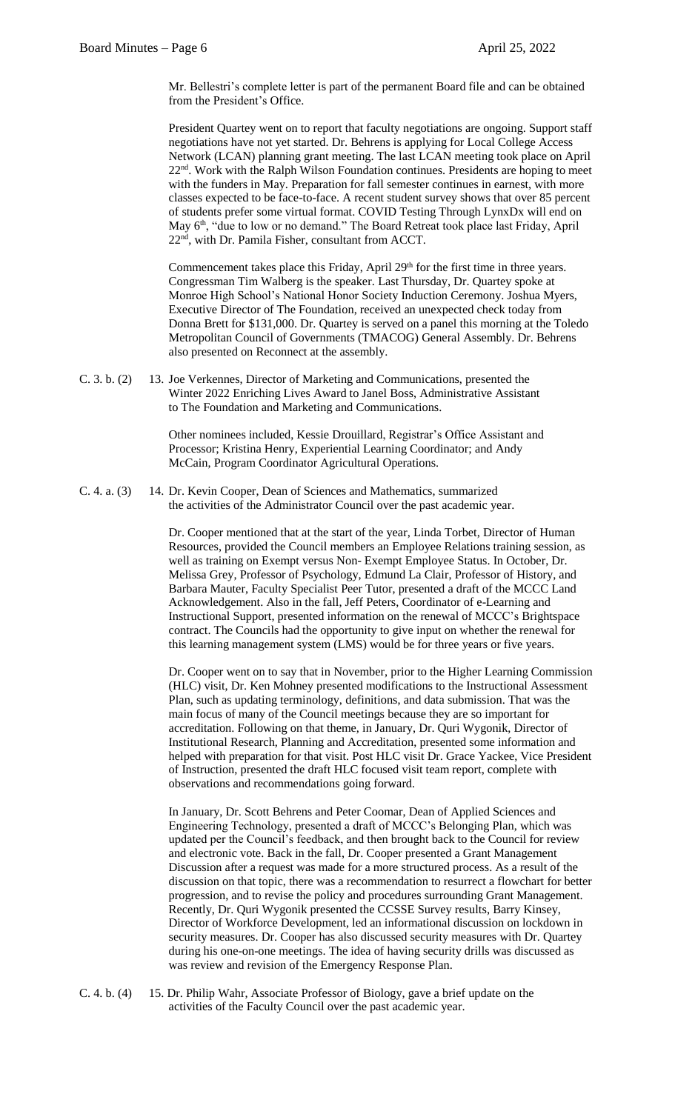Mr. Bellestri's complete letter is part of the permanent Board file and can be obtained from the President's Office.

President Quartey went on to report that faculty negotiations are ongoing. Support staff negotiations have not yet started. Dr. Behrens is applying for Local College Access Network (LCAN) planning grant meeting. The last LCAN meeting took place on April 22nd. Work with the Ralph Wilson Foundation continues. Presidents are hoping to meet with the funders in May. Preparation for fall semester continues in earnest, with more classes expected to be face-to-face. A recent student survey shows that over 85 percent of students prefer some virtual format. COVID Testing Through LynxDx will end on May 6<sup>th</sup>, "due to low or no demand." The Board Retreat took place last Friday, April 22nd, with Dr. Pamila Fisher, consultant from ACCT.

Commencement takes place this Friday, April 29<sup>th</sup> for the first time in three years. Congressman Tim Walberg is the speaker. Last Thursday, Dr. Quartey spoke at Monroe High School's National Honor Society Induction Ceremony. Joshua Myers, Executive Director of The Foundation, received an unexpected check today from Donna Brett for \$131,000. Dr. Quartey is served on a panel this morning at the Toledo Metropolitan Council of Governments (TMACOG) General Assembly. Dr. Behrens also presented on Reconnect at the assembly.

C. 3. b. (2) 13. Joe Verkennes, Director of Marketing and Communications, presented the Winter 2022 Enriching Lives Award to Janel Boss, Administrative Assistant to The Foundation and Marketing and Communications.

> Other nominees included, Kessie Drouillard, Registrar's Office Assistant and Processor; Kristina Henry, Experiential Learning Coordinator; and Andy McCain, Program Coordinator Agricultural Operations.

C. 4. a. (3) 14. Dr. Kevin Cooper, Dean of Sciences and Mathematics, summarized the activities of the Administrator Council over the past academic year.

> Dr. Cooper mentioned that at the start of the year, Linda Torbet, Director of Human Resources, provided the Council members an Employee Relations training session, as well as training on Exempt versus Non- Exempt Employee Status. In October, Dr. Melissa Grey, Professor of Psychology, Edmund La Clair, Professor of History, and Barbara Mauter, Faculty Specialist Peer Tutor, presented a draft of the MCCC Land Acknowledgement. Also in the fall, Jeff Peters, Coordinator of e-Learning and Instructional Support, presented information on the renewal of MCCC's Brightspace contract. The Councils had the opportunity to give input on whether the renewal for this learning management system (LMS) would be for three years or five years.

Dr. Cooper went on to say that in November, prior to the Higher Learning Commission (HLC) visit, Dr. Ken Mohney presented modifications to the Instructional Assessment Plan, such as updating terminology, definitions, and data submission. That was the main focus of many of the Council meetings because they are so important for accreditation. Following on that theme, in January, Dr. Quri Wygonik, Director of Institutional Research, Planning and Accreditation, presented some information and helped with preparation for that visit. Post HLC visit Dr. Grace Yackee, Vice President of Instruction, presented the draft HLC focused visit team report, complete with observations and recommendations going forward.

In January, Dr. Scott Behrens and Peter Coomar, Dean of Applied Sciences and Engineering Technology, presented a draft of MCCC's Belonging Plan, which was updated per the Council's feedback, and then brought back to the Council for review and electronic vote. Back in the fall, Dr. Cooper presented a Grant Management Discussion after a request was made for a more structured process. As a result of the discussion on that topic, there was a recommendation to resurrect a flowchart for better progression, and to revise the policy and procedures surrounding Grant Management. Recently, Dr. Quri Wygonik presented the CCSSE Survey results, Barry Kinsey, Director of Workforce Development, led an informational discussion on lockdown in security measures. Dr. Cooper has also discussed security measures with Dr. Quartey during his one-on-one meetings. The idea of having security drills was discussed as was review and revision of the Emergency Response Plan.

C. 4. b. (4) 15. Dr. Philip Wahr, Associate Professor of Biology, gave a brief update on the activities of the Faculty Council over the past academic year.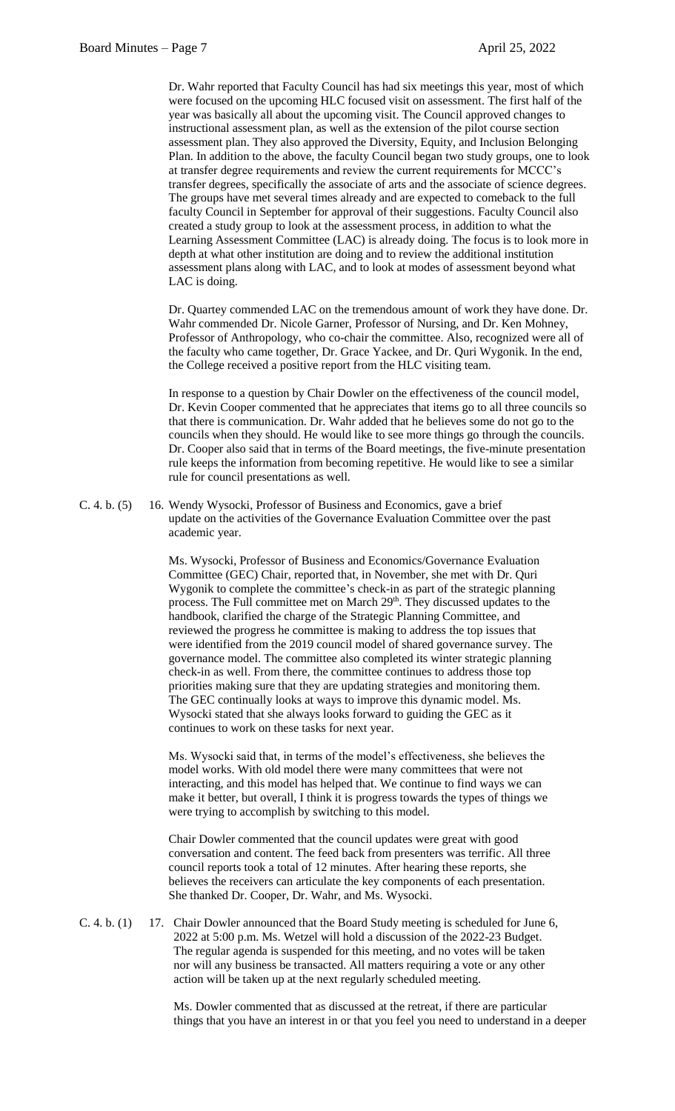Dr. Wahr reported that Faculty Council has had six meetings this year, most of which were focused on the upcoming HLC focused visit on assessment. The first half of the year was basically all about the upcoming visit. The Council approved changes to instructional assessment plan, as well as the extension of the pilot course section assessment plan. They also approved the Diversity, Equity, and Inclusion Belonging Plan. In addition to the above, the faculty Council began two study groups, one to look at transfer degree requirements and review the current requirements for MCCC's transfer degrees, specifically the associate of arts and the associate of science degrees. The groups have met several times already and are expected to comeback to the full faculty Council in September for approval of their suggestions. Faculty Council also created a study group to look at the assessment process, in addition to what the Learning Assessment Committee (LAC) is already doing. The focus is to look more in depth at what other institution are doing and to review the additional institution assessment plans along with LAC, and to look at modes of assessment beyond what LAC is doing.

Dr. Quartey commended LAC on the tremendous amount of work they have done. Dr. Wahr commended Dr. Nicole Garner, Professor of Nursing, and Dr. Ken Mohney, Professor of Anthropology, who co-chair the committee. Also, recognized were all of the faculty who came together, Dr. Grace Yackee, and Dr. Quri Wygonik. In the end, the College received a positive report from the HLC visiting team.

In response to a question by Chair Dowler on the effectiveness of the council model, Dr. Kevin Cooper commented that he appreciates that items go to all three councils so that there is communication. Dr. Wahr added that he believes some do not go to the councils when they should. He would like to see more things go through the councils. Dr. Cooper also said that in terms of the Board meetings, the five-minute presentation rule keeps the information from becoming repetitive. He would like to see a similar rule for council presentations as well.

C. 4. b. (5) 16. Wendy Wysocki, Professor of Business and Economics, gave a brief update on the activities of the Governance Evaluation Committee over the past academic year.

> Ms. Wysocki, Professor of Business and Economics/Governance Evaluation Committee (GEC) Chair, reported that, in November, she met with Dr. Quri Wygonik to complete the committee's check-in as part of the strategic planning process. The Full committee met on March 29<sup>th</sup>. They discussed updates to the handbook, clarified the charge of the Strategic Planning Committee, and reviewed the progress he committee is making to address the top issues that were identified from the 2019 council model of shared governance survey. The governance model. The committee also completed its winter strategic planning check-in as well. From there, the committee continues to address those top priorities making sure that they are updating strategies and monitoring them. The GEC continually looks at ways to improve this dynamic model. Ms. Wysocki stated that she always looks forward to guiding the GEC as it continues to work on these tasks for next year.

Ms. Wysocki said that, in terms of the model's effectiveness, she believes the model works. With old model there were many committees that were not interacting, and this model has helped that. We continue to find ways we can make it better, but overall, I think it is progress towards the types of things we were trying to accomplish by switching to this model.

Chair Dowler commented that the council updates were great with good conversation and content. The feed back from presenters was terrific. All three council reports took a total of 12 minutes. After hearing these reports, she believes the receivers can articulate the key components of each presentation. She thanked Dr. Cooper, Dr. Wahr, and Ms. Wysocki.

C. 4. b. (1) 17. Chair Dowler announced that the Board Study meeting is scheduled for June 6, 2022 at 5:00 p.m. Ms. Wetzel will hold a discussion of the 2022-23 Budget. The regular agenda is suspended for this meeting, and no votes will be taken nor will any business be transacted. All matters requiring a vote or any other action will be taken up at the next regularly scheduled meeting.

> Ms. Dowler commented that as discussed at the retreat, if there are particular things that you have an interest in or that you feel you need to understand in a deeper